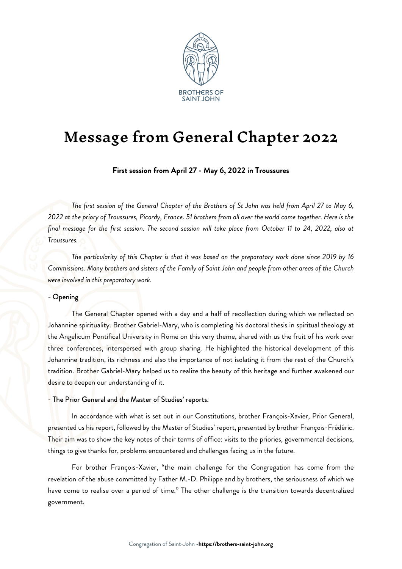

# Message from General Chapter 2022

First session from April 27 - May 6, 2022 in Troussures

The first session of the General Chapter of the Brothers of St John was held from April 27 to May 6, 2022 at the priory of Troussures, Picardy, France. 51 brothers from all over the world came together. Here is the final message for the first session. The second session will take place from October 11 to 24, 2022, also at Troussures.

The particularity of this Chapter is that it was based on the preparatory work done since 2019 by 16 Commissions. Many brothers and sisters of the Family of Saint John and people from other areas of the Church were involved in this preparatory work.

## - Opening

The General Chapter opened with a day and a half of recollection during which we reflected on Johannine spirituality. Brother Gabriel-Mary, who is completing his doctoral thesis in spiritual theology at the Angelicum Pontifical University in Rome on this very theme, shared with us the fruit of his work over three conferences, interspersed with group sharing. He highlighted the historical development of this Johannine tradition, its richness and also the importance of not isolating it from the rest of the Church's tradition. Brother Gabriel-Mary helped us to realize the beauty of this heritage and further awakened our desire to deepen our understanding of it.

#### - The Prior General and the Master of Studies' reports.

In accordance with what is set out in our Constitutions, brother François-Xavier, Prior General, presented us his report, followed by the Master of Studies' report, presented by brother François-Frédéric. Their aim was to show the key notes of their terms of office: visits to the priories, governmental decisions, things to give thanks for, problems encountered and challenges facing us in the future.

For brother François-Xavier, "the main challenge for the Congregation has come from the revelation of the abuse committed by Father M.-D. Philippe and by brothers, the seriousness of which we have come to realise over a period of time." The other challenge is the transition towards decentralized government.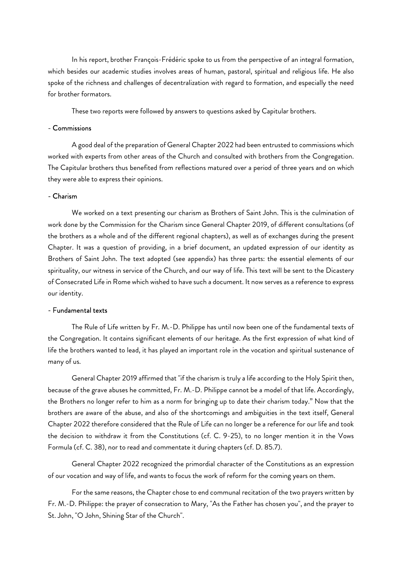In his report, brother François-Frédéric spoke to us from the perspective of an integral formation, which besides our academic studies involves areas of human, pastoral, spiritual and religious life. He also spoke of the richness and challenges of decentralization with regard to formation, and especially the need for brother formators.

These two reports were followed by answers to questions asked by Capitular brothers.

## - Commissions

A good deal of the preparation of General Chapter 2022 had been entrusted to commissions which worked with experts from other areas of the Church and consulted with brothers from the Congregation. The Capitular brothers thus benefited from reflections matured over a period of three years and on which they were able to express their opinions.

## - Charism

We worked on a text presenting our charism as Brothers of Saint John. This is the culmination of work done by the Commission for the Charism since General Chapter 2019, of different consultations (of the brothers as a whole and of the different regional chapters), as well as of exchanges during the present Chapter. It was a question of providing, in a brief document, an updated expression of our identity as Brothers of Saint John. The text adopted (see appendix) has three parts: the essential elements of our spirituality, our witness in service of the Church, and our way of life. This text will be sent to the Dicastery of Consecrated Life in Rome which wished to have such a document. It now serves as a reference to express our identity.

## - Fundamental texts

The Rule of Life written by Fr. M.-D. Philippe has until now been one of the fundamental texts of the Congregation. It contains significant elements of our heritage. As the first expression of what kind of life the brothers wanted to lead, it has played an important role in the vocation and spiritual sustenance of many of us.

General Chapter 2019 affirmed that "if the charism is truly a life according to the Holy Spirit then, because of the grave abuses he committed, Fr. M.-D. Philippe cannot be a model of that life. Accordingly, the Brothers no longer refer to him as a norm for bringing up to date their charism today." Now that the brothers are aware of the abuse, and also of the shortcomings and ambiguities in the text itself, General Chapter 2022 therefore considered that the Rule of Life can no longer be a reference for our life and took the decision to withdraw it from the Constitutions (cf. C. 9-25), to no longer mention it in the Vows Formula (cf. C. 38), nor to read and commentate it during chapters (cf. D. 85.7).

General Chapter 2022 recognized the primordial character of the Constitutions as an expression of our vocation and way of life, and wants to focus the work of reform for the coming years on them.

For the same reasons, the Chapter chose to end communal recitation of the two prayers written by Fr. M.-D. Philippe: the prayer of consecration to Mary, "As the Father has chosen you", and the prayer to St. John, "O John, Shining Star of the Church".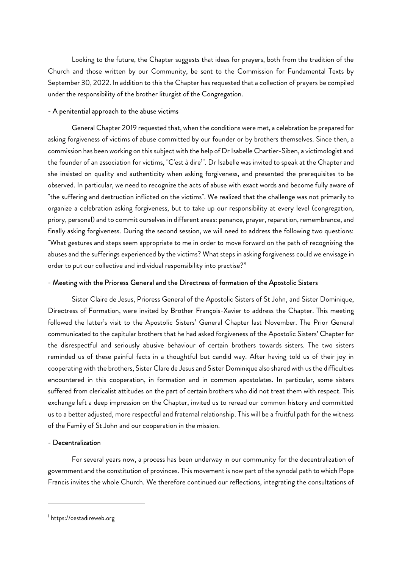Looking to the future, the Chapter suggests that ideas for prayers, both from the tradition of the Church and those written by our Community, be sent to the Commission for Fundamental Texts by September 30, 2022. In addition to this the Chapter has requested that a collection of prayers be compiled under the responsibility of the brother liturgist of the Congregation.

## - A penitential approach to the abuse victims

General Chapter 2019 requested that, when the conditions were met, a celebration be prepared for asking forgiveness of victims of abuse committed by our founder or by brothers themselves. Since then, a commission has been working on this subject with the help of Dr Isabelle Chartier-Siben, a victimologist and the founder of an association for victims, "C'est à dire<sup>1</sup>". Dr Isabelle was invited to speak at the Chapter and she insisted on quality and authenticity when asking forgiveness, and presented the prerequisites to be observed. In particular, we need to recognize the acts of abuse with exact words and become fully aware of "the suffering and destruction inflicted on the victims". We realized that the challenge was not primarily to organize a celebration asking forgiveness, but to take up our responsibility at every level (congregation, priory, personal) and to commit ourselves in different areas: penance, prayer, reparation, remembrance, and finally asking forgiveness. During the second session, we will need to address the following two questions: "What gestures and steps seem appropriate to me in order to move forward on the path of recognizing the abuses and the sufferings experienced by the victims? What steps in asking forgiveness could we envisage in order to put our collective and individual responsibility into practise?"

## - Meeting with the Prioress General and the Directress of formation of the Apostolic Sisters

Sister Claire de Jesus, Prioress General of the Apostolic Sisters of St John, and Sister Dominique, Directress of Formation, were invited by Brother François-Xavier to address the Chapter. This meeting followed the latter's visit to the Apostolic Sisters' General Chapter last November. The Prior General communicated to the capitular brothers that he had asked forgiveness of the Apostolic Sisters' Chapter for the disrespectful and seriously abusive behaviour of certain brothers towards sisters. The two sisters reminded us of these painful facts in a thoughtful but candid way. After having told us of their joy in cooperating with the brothers, Sister Clare de Jesus and Sister Dominique also shared with us the difficulties encountered in this cooperation, in formation and in common apostolates. In particular, some sisters suffered from clericalist attitudes on the part of certain brothers who did not treat them with respect. This exchange left a deep impression on the Chapter, invited us to reread our common history and committed us to a better adjusted, more respectful and fraternal relationship. This will be a fruitful path for the witness of the Family of St John and our cooperation in the mission.

## - Decentralization

For several years now, a process has been underway in our community for the decentralization of government and the constitution of provinces. This movement is now part of the synodal path to which Pope Francis invites the whole Church. We therefore continued our reflections, integrating the consultations of

<sup>1</sup> https://cestadireweb.org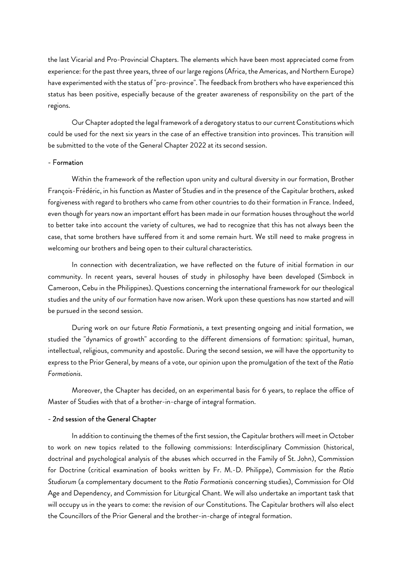the last Vicarial and Pro-Provincial Chapters. The elements which have been most appreciated come from experience: for the past three years, three of our large regions (Africa, the Americas, and Northern Europe) have experimented with the status of "pro-province". The feedback from brothers who have experienced this status has been positive, especially because of the greater awareness of responsibility on the part of the regions.

Our Chapter adopted the legal framework of a derogatory status to our current Constitutions which could be used for the next six years in the case of an effective transition into provinces. This transition will be submitted to the vote of the General Chapter 2022 at its second session.

## - Formation

Within the framework of the reflection upon unity and cultural diversity in our formation, Brother François-Frédéric, in his function as Master of Studies and in the presence of the Capitular brothers, asked forgiveness with regard to brothers who came from other countries to do their formation in France. Indeed, even though for years now an important effort has been made in our formation houses throughout the world to better take into account the variety of cultures, we had to recognize that this has not always been the case, that some brothers have suffered from it and some remain hurt. We still need to make progress in welcoming our brothers and being open to their cultural characteristics.

In connection with decentralization, we have reflected on the future of initial formation in our community. In recent years, several houses of study in philosophy have been developed (Simbock in Cameroon, Cebu in the Philippines). Questions concerning the international framework for our theological studies and the unity of our formation have now arisen. Work upon these questions has now started and will be pursued in the second session.

During work on our future Ratio Formationis, a text presenting ongoing and initial formation, we studied the "dynamics of growth" according to the different dimensions of formation: spiritual, human, intellectual, religious, community and apostolic. During the second session, we will have the opportunity to express to the Prior General, by means of a vote, our opinion upon the promulgation of the text of the Ratio Formationis.

Moreover, the Chapter has decided, on an experimental basis for 6 years, to replace the office of Master of Studies with that of a brother-in-charge of integral formation.

## - 2nd session of the General Chapter

In addition to continuing the themes of the first session, the Capitular brothers will meet in October to work on new topics related to the following commissions: Interdisciplinary Commission (historical, doctrinal and psychological analysis of the abuses which occurred in the Family of St. John), Commission for Doctrine (critical examination of books written by Fr. M.-D. Philippe), Commission for the Ratio Studiorum (a complementary document to the Ratio Formationis concerning studies), Commission for Old Age and Dependency, and Commission for Liturgical Chant. We will also undertake an important task that will occupy us in the years to come: the revision of our Constitutions. The Capitular brothers will also elect the Councillors of the Prior General and the brother-in-charge of integral formation.